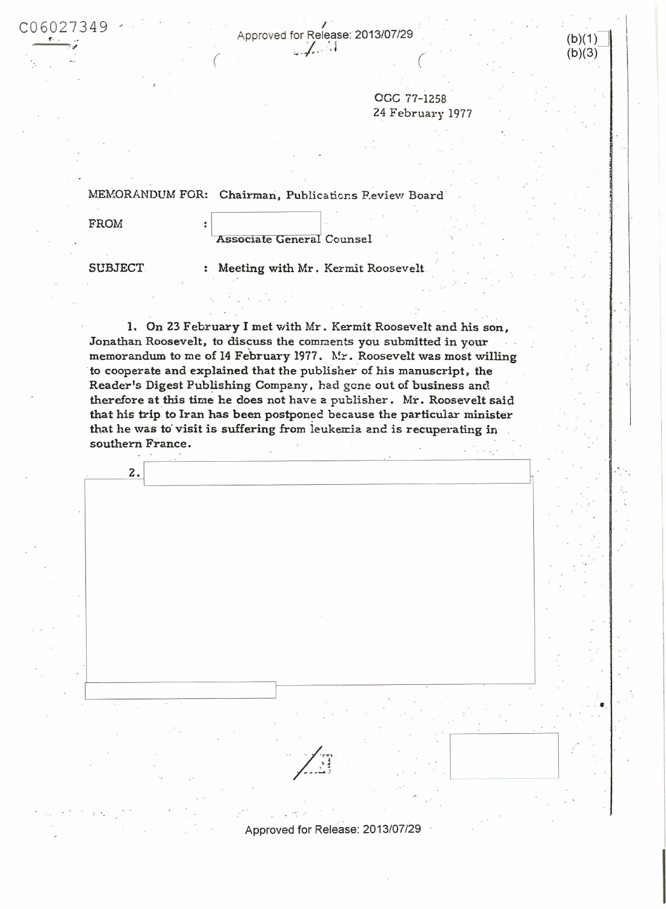· .

C0 <sup>60</sup> <sup>2</sup> <sup>7349</sup>,. Approved for Rele;~se : 2013/07/29  $U_0 U_2 / 349$  (b)(1)<br>
Approved for Release: 2013/07/29 (b)(1)<br>
(b)(3)

OGC 77-1258 24 February 1977  $(b)(3)$ 

 $\vert$ 

 $\overline{\phantom{a}}$ 

 $\cdot$ 

·-

MEMORANDUM FOR: Chairman, Publications P.eview Board

(

FROM : |<br>| Associate General Counsel

SUBJECT : Meeting with Mr. Kermit Roosevelt

I. On 23 February I met with Mr . Kermit Roosevelt and his son, <sup>~</sup>Jonathan Roosevelt, to discuss the comments you submitted in your memorandum to me of 14 February 1977. Mr. Roosevelt was most willing to cooperate and explained that the publisher of his manuscript, the Reader's Digest Publishing Company, had gene out of business and therefore at this time he does not have a publisher. Mr. Roosevelt said that his trip to Iran has been postponed because the particular minister that he was to visit is suffering from leukenia and is recuperating in southern France.

,  $\overline{\phantom{a}}$  ,  $\overline{\phantom{a}}$  ,  $\overline{\phantom{a}}$  ,  $\overline{\phantom{a}}$  ,  $\overline{\phantom{a}}$  ,  $\overline{\phantom{a}}$  ,  $\overline{\phantom{a}}$  ,  $\overline{\phantom{a}}$  ,  $\overline{\phantom{a}}$  ,  $\overline{\phantom{a}}$  ,  $\overline{\phantom{a}}$  ,  $\overline{\phantom{a}}$  ,  $\overline{\phantom{a}}$  ,  $\overline{\phantom{a}}$  ,  $\overline{\phantom{a}}$  ,  $\overline{\phantom{a$ I l Approved for Release: 2013/07/29